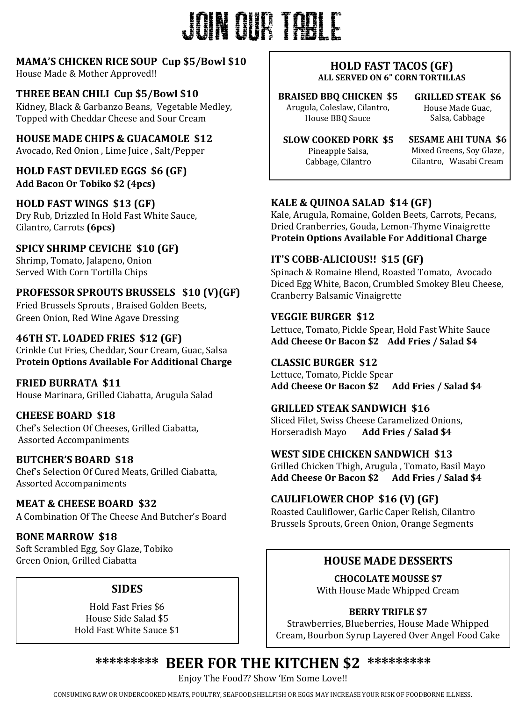## JOIN our table

#### **MAMA'S CHICKEN RICE SOUP Cup \$5/Bowl \$10**

House Made & Mother Approved!!

#### THREE BEAN CHILI Cup \$5/Bowl \$10

Kidney, Black & Garbanzo Beans, Vegetable Medley, Topped with Cheddar Cheese and Sour Cream

**HOUSE MADE CHIPS & GUACAMOLE \$12** 

Avocado, Red Onion, Lime Juice, Salt/Pepper

**HOLD FAST DEVILED EGGS \$6 (GF) Add Bacon Or Tobiko \$2 (4pcs)**

**HOLD FAST WINGS \$13 (GF)** Dry Rub, Drizzled In Hold Fast White Sauce, Cilantro, Carrots **(6pcs)**

**SPICY SHRIMP CEVICHE \$10 (GF)** Shrimp, Tomato, Jalapeno, Onion Served With Corn Tortilla Chips

#### **PROFESSOR SPROUTS BRUSSELS \$10 (V)(GF)**

Fried Brussels Sprouts, Braised Golden Beets, Green Onion, Red Wine Agave Dressing

#### **46TH ST. LOADED FRIES \$12 (GF)**

Crinkle Cut Fries, Cheddar, Sour Cream, Guac, Salsa **Protein Options Available For Additional Charge** 

**FRIED BURRATA \$11** House Marinara, Grilled Ciabatta, Arugula Salad

#### **CHEESE BOARD \$18**

Chef's Selection Of Cheeses, Grilled Ciabatta, Assorted Accompaniments

#### **BUTCHER'S BOARD \$18**

Chef's Selection Of Cured Meats, Grilled Ciabatta, Assorted Accompaniments

**MEAT & CHEESE BOARD \$32** A Combination Of The Cheese And Butcher's Board

**BONE MARROW \$18** Soft Scrambled Egg, Soy Glaze, Tobiko Green Onion, Grilled Ciabatta

#### **SIDES**

Hold Fast Fries \$6 House Side Salad \$5 Hold Fast White Sauce \$1

#### **HOLD FAST TACOS (GF) ALL SERVED ON 6" CORN TORTILLAS**

**BRAISED BBQ CHICKEN \$5** Arugula, Coleslaw, Cilantro, House BBQ Sauce

**GRILLED STEAK \$6** House Made Guac, Salsa, Cabbage

**SLOW COOKED PORK \$5** Pineapple Salsa, Cabbage, Cilantro

**SESAME AHI TUNA \$6** Mixed Greens, Soy Glaze, Cilantro, Wasabi Cream

#### **KALE & QUINOA SALAD \$14 (GF)**

Kale, Arugula, Romaine, Golden Beets, Carrots, Pecans, Dried Cranberries, Gouda, Lemon-Thyme Vinaigrette **Protein Options Available For Additional Charge** 

#### **IT'S COBB-ALICIOUS!! \$15 (GF)**

Spinach & Romaine Blend, Roasted Tomato, Avocado Diced Egg White, Bacon, Crumbled Smokey Bleu Cheese, Cranberry Balsamic Vinaigrette

#### **VEGGIE BURGER \$12**

Lettuce, Tomato, Pickle Spear, Hold Fast White Sauce Add Cheese Or Bacon \$2 Add Fries / Salad \$4

#### **CLASSIC BURGER \$12**

Lettuce, Tomato, Pickle Spear Add Cheese Or Bacon \$2 Add Fries / Salad \$4

#### **GRILLED STEAK SANDWICH \$16**

Sliced Filet, Swiss Cheese Caramelized Onions, Horseradish Mayo **Add Fries / Salad \$4**

#### WEST SIDE CHICKEN SANDWICH \$13

Grilled Chicken Thigh, Arugula, Tomato, Basil Mayo Add Cheese Or Bacon \$2 Add Fries / Salad \$4

#### CAULIFLOWER CHOP \$16 (V) (GF)

Roasted Cauliflower, Garlic Caper Relish, Cilantro Brussels Sprouts, Green Onion, Orange Segments

#### **HOUSE MADE DESSERTS**

**CHOCOLATE MOUSSE \$7** With House Made Whipped Cream

#### **BERRY TRIFLE \$7**

Strawberries, Blueberries, House Made Whipped Cream, Bourbon Syrup Layered Over Angel Food Cake

#### \*\*\*\*\*\*\*\*\*\* **BEER FOR THE KITCHEN \$2 \*\*\*\*\*\*\*\*\***

Enjoy The Food?? Show 'Em Some Love!!

CONSUMING RAW OR UNDERCOOKED MEATS, POULTRY, SEAFOOD, SHELLFISH OR EGGS MAY INCREASE YOUR RISK OF FOODBORNE ILLNESS.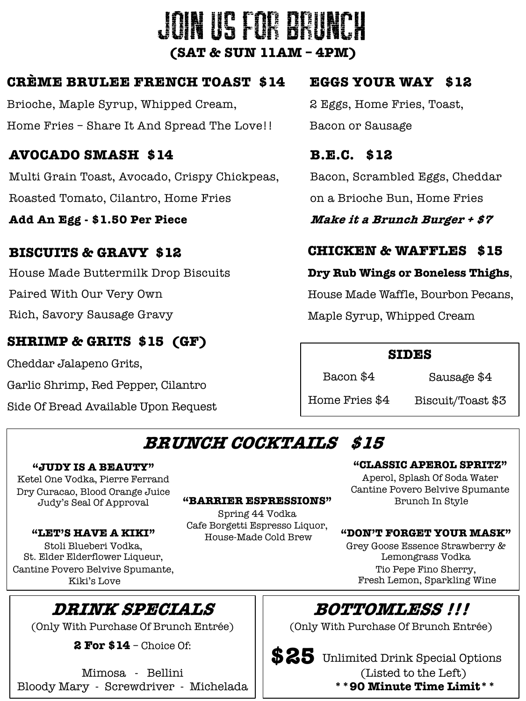## JOIN US FOR BRUN **(SAT & SUN 11AM – 4PM)**

#### **CRÈME BRULEE FRENCH TOAST \$14**

Brioche, Maple Syrup, Whipped Cream, Home Fries – Share It And Spread The Love!!

#### **AVOCADO SMASH \$14**

Multi Grain Toast, Avocado, Crispy Chickpeas, Roasted Tomato, Cilantro, Home Fries

**Add An Egg - \$1.50 Per Piece**

#### **BISCUITS & GRAVY \$12**

House Made Buttermilk Drop Biscuits Paired With Our Very Own Rich, Savory Sausage Gravy

#### **SHRIMP & GRITS \$15 (GF)**

Cheddar Jalapeno Grits,

Garlic Shrimp, Red Pepper, Cilantro

Side Of Bread Available Upon Request

#### **EGGS YOUR WAY \$12** 2 Eggs, Home Fries, Toast, Bacon or Sausage

**B.E.C. \$12** Bacon, Scrambled Eggs, Cheddar on a Brioche Bun, Home Fries

**Make it a Brunch Burger + \$7**

#### **CHICKEN & WAFFLES \$15**

#### **Dry Rub Wings or Boneless Thighs**,

House Made Waffle, Bourbon Pecans,

Maple Syrup, Whipped Cream

#### **SIDES**

Bacon \$4

Sausage \$4

Home Fries \$4

Biscuit/Toast \$3

### **BRUNCH COCKTAILS \$15**

#### **"JUDY IS A BEAUTY"**

Ketel One Vodka, Pierre Ferrand Dry Curacao, Blood Orange Juice

#### **"LET'S HAVE A KIKI"**

Stoli Blueberi Vodka, St. Elder Elderflower Liqueur, Cantine Povero Belvive Spumante, Kiki's Love

### **DRINK SPECIALS**

(Only With Purchase Of Brunch Entrée)

**2 For \$14** – Choice Of:

Mimosa - Bellini Bloody Mary - Screwdriver - Michelada

#### Judy's Seal Of Approval **"BARRIER ESPRESSIONS"**

Spring 44 Vodka Cafe Borgetti Espresso Liquor, House-Made Cold Brew

#### **"CLASSIC APEROL SPRITZ"**

Aperol, Splash Of Soda Water Cantine Povero Belvive Spumante Brunch In Style

#### **"DON'T FORGET YOUR MASK"**

Grey Goose Essence Strawberry & Lemongrass Vodka Tio Pepe Fino Sherry, Fresh Lemon, Sparkling Wine

### **BOTTOMLESS !!!**

(Only With Purchase Of Brunch Entrée)

Unlimited Drink Special Options **\$25** (Listed to the Left)

#### **\*\*90 Minute Time Limit\*\***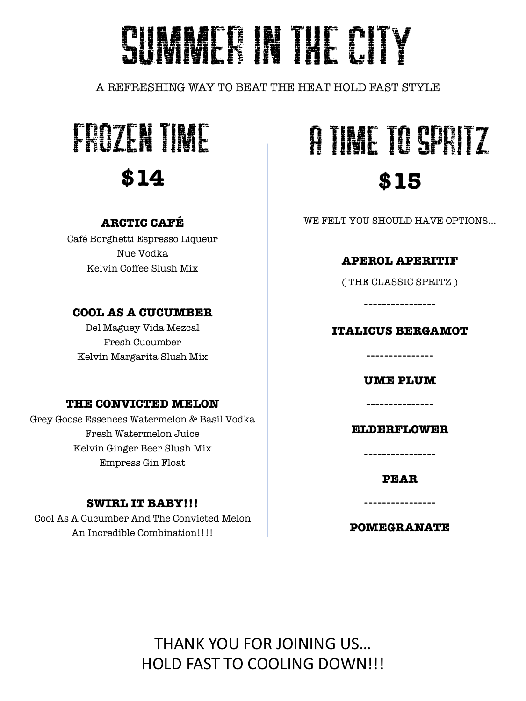## SUMMER IN THE CITY

A REFRESHING WAY TO BEAT THE HEAT HOLD FAST STYLE



#### **ARCTIC CAFÉ**

Café Borghetti Espresso Liqueur Nue Vodka Kelvin Coffee Slush Mix

#### **COOL AS A CUCUMBER**

Del Maguey Vida Mezcal Fresh Cucumber Kelvin Margarita Slush Mix

#### **THE CONVICTED MELON**

Grey Goose Essences Watermelon & Basil Vodka Fresh Watermelon Juice Kelvin Ginger Beer Slush Mix Empress Gin Float

#### **SWIRL IT BABY!!!**

Cool As A Cucumber And The Convicted Melon An Incredible Combination!!!!

## A time to spritz **\$15**

WE FELT YOU SHOULD HAVE OPTIONS…

#### **APEROL APERITIF**

( THE CLASSIC SPRITZ )

----------------

#### **ITALICUS BERGAMOT**

--------------- **UME PLUM**

---------------

**ELDERFLOWER**

----------------

**PEAR**

----------------

**POMEGRANATE**

THANK YOU FOR JOINING US… HOLD FAST TO COOLING DOWN!!!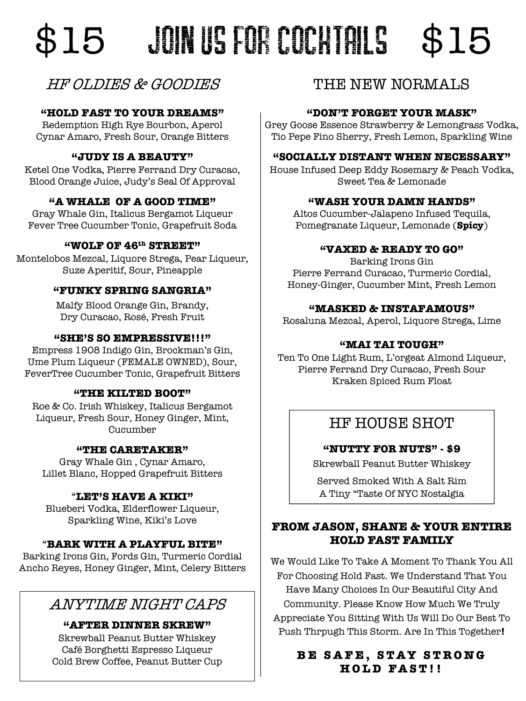## \$15 JOIN US FOR COCHTAILS \$15

#### HF OLDIES & GOODIES

#### **"HOLD FAST TO YOUR DREAMS"**

Redemption High Rye Bourbon, Aperol Cynar Amaro, Fresh Sour, Orange Bitters

#### **"JUDY IS A BEAUTY"**

Ketel One Vodka, Pierre Ferrand Dry Curacao, Blood Orange Juice, Judy's Seal Of Approval

#### **"A WHALE OF A GOOD TIME"**

Gray Whale Gin, Italicus Bergamot Liqueur Fever Tree Cucumber Tonic, Grapefruit Soda

#### **"WOLF OF 46th STREET"**

Montelobos Mezcal, Liquore Strega, Pear Liqueur, Suze Aperitif, Sour, Pineapple

#### **"FUNKY SPRING SANGRIA"**

Malfy Blood Orange Gin, Brandy, Dry Curacao, Rosé, Fresh Fruit

#### **"SHE'S SO EMPRESSIVE!!!"**

Empress 1908 Indigo Gin, Brockman's Gin, Ume Plum Liqueur (FEMALE OWNED), Sour, FeverTree Cucumber Tonic, Grapefruit Bitters

#### **"THE KILTED BOOT"**

Roe & Co. Irish Whiskey, Italicus Bergamot Liqueur, Fresh Sour, Honey Ginger, Mint, Cucumber

#### **"THE CARETAKER"**

Gray Whale Gin , Cynar Amaro, Lillet Blanc, Hopped Grapefruit Bitters

#### "**LET'S HAVE A KIKI"**

Blueberi Vodka, Elderflower Liqueur, Sparkling Wine, Kiki's Love

#### "**BARK WITH A PLAYFUL BITE"**

Barking Irons Gin, Fords Gin, Turmeric Cordial Ancho Reyes, Honey Ginger, Mint, Celery Bitters

#### ANYTIME NIGHT CAPS

**"AFTER DINNER SKREW"**

Skrewball Peanut Butter Whiskey Café Borghetti Espresso Liqueur Cold Brew Coffee, Peanut Butter Cup

#### THE NEW NORMALS

#### **"DON'T FORGET YOUR MASK"**

Grey Goose Essence Strawberry & Lemongrass Vodka, Tio Pepe Fino Sherry, Fresh Lemon, Sparkling Wine

#### **"SOCIALLY DISTANT WHEN NECESSARY"**

House Infused Deep Eddy Rosemary & Peach Vodka, Sweet Tea & Lemonade

#### **"WASH YOUR DAMN HANDS"**

Altos Cucumber-Jalapeno Infused Tequila, Pomegranate Liqueur, Lemonade (**Spicy**)

#### **"VAXED & READY TO GO"**

Barking Irons Gin Pierre Ferrand Curacao, Turmeric Cordial, Honey-Ginger, Cucumber Mint, Fresh Lemon

#### **"MASKED & INSTAFAMOUS"**

Rosaluna Mezcal, Aperol, Liquore Strega, Lime

#### **"MAI TAI TOUGH"**

Ten To One Light Rum, L'orgeat Almond Liqueur, Pierre Ferrand Dry Curacao, Fresh Sour Kraken Spiced Rum Float

#### HF HOUSE SHOT

#### **"NUTTY FOR NUTS" - \$9**

Skrewball Peanut Butter Whiskey

Served Smoked With A Salt Rim A Tiny "Taste Of NYC Nostalgia

#### **FROM JASON, SHANE & YOUR ENTIRE HOLD FAST FAMILY**

We Would Like To Take A Moment To Thank You All For Choosing Hold Fast. We Understand That You Have Many Choices In Our Beautiful City And Community. Please Know How Much We Truly Appreciate You Sitting With Us Will Do Our Best To Push Thrpugh This Storm. Are In This Together**!**

#### **BE SAFE, STAY STRONG HOLD FAST!!**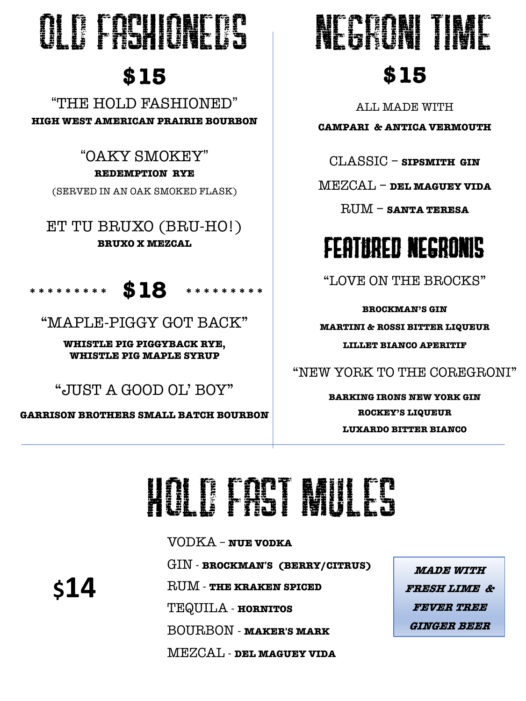## OLD FASHIONEDS

## **\$15**

!THE HOLD FASHIONED" **HIGH WEST AMERICAN PRAIRIE BOURBON**

> !OAKY SMOKEY"# **REDEMPTION RYE**

(SERVED IN AN OAK SMOKED FLASK)

ET TU BRUXO (BRU-HO!) **BRUXO X MEZCAL**



"MAPLE-PIGGY GOT BACK"

**WHISTLE PIG PIGGYBACK RYE, WHISTLE PIG MAPLE SYRUP**

"JUST A GOOD OL' BOY"

**GARRISON BROTHERS SMALL BATCH BOURBON**

# NEGRONI TIME

## **\$15**

ALL MADE WITH

**CAMPARI & ANTICA VERMOUTH**

CLASSIC – **SIPSMITH GIN**

MEZCAL – **DEL MAGUEY VIDA**

RUM – **SANTA TERESA**

## FEATURED NEGRONIs

"LOVE ON THE BROCKS"

**BROCKMAN'S GIN**

**MARTINI & ROSSI BITTER LIQUEUR**

**LILLET BIANCO APERITIF**

"NEW YORK TO THE COREGRONI"

**BARKING IRONS NEW YORK GIN ROCKEY'S LIQUEUR LUXARDO BITTER BIANCO**

## Hold fast m

VODKA – **NUE VODKA** GIN - **BROCKMAN**!**S (BERRY/CITRUS)** RUM - **THE KRAKEN SPICED** TEQUILA - **HORNITOS** BOURBON - **MAKER**!**S MARK** MEZCAL - **DEL MAGUEY VIDA**

**MADE WITH FRESH LIME & FEVER TREE GINGER BEER**

**\$14**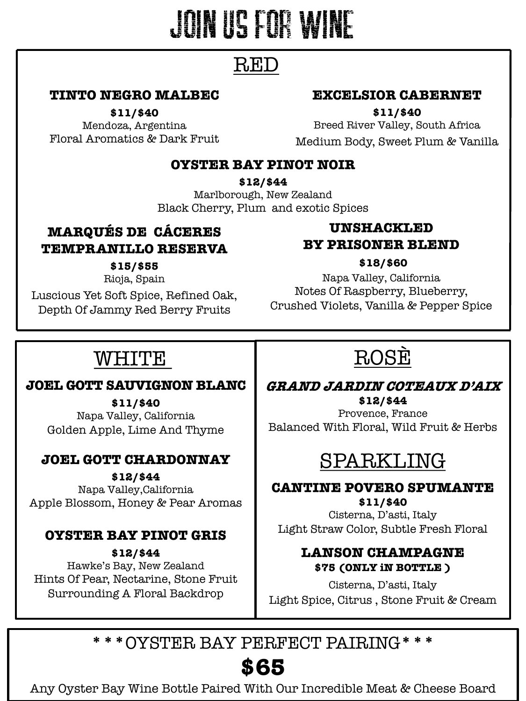## Join us for wine

### RED

#### **TINTO NEGRO MALBEC**

**\$11/\$40**

Mendoza, Argentina Floral Aromatics & Dark Fruit

#### **EXCELSIOR CABERNET**

**\$11/\$40**

Breed River Valley, South Africa Medium Body, Sweet Plum & Vanilla

#### **OYSTER BAY PINOT NOIR**

**\$12/\$44**

Marlborough, New Zealand Black Cherry, Plum and exotic Spices

#### **MARQUÉS DE CÁCERES TEMPRANILLO RESERVA**

**\$15/\$55** Rioja, Spain Luscious Yet Soft Spice, Refined Oak, Depth Of Jammy Red Berry Fruits

#### **UNSHACKLED BY PRISONER BLEND**

#### **\$18/\$60**

Napa Valley, California Notes Of Raspberry, Blueberry, Crushed Violets, Vanilla & Pepper Spice

### WHITE

#### **JOEL GOTT SAUVIGNON BLANC**

**\$11/\$40** Napa Valley, California Golden Apple, Lime And Thyme

#### **JOEL GOTT CHARDONNAY**

**\$12/\$44** Napa Valley,California

Apple Blossom, Honey & Pear Aromas

#### **OYSTER BAY PINOT GRIS**

**\$12/\$44** Hawke's Bay, New Zealand Hints Of Pear, Nectarine, Stone Fruit Surrounding A Floral Backdrop

## ROSÈ

#### **GRAND JARDIN COTEAUX D'AIX \$12/\$44**

Provence, France Balanced With Floral, Wild Fruit & Herbs

### SPARKLING

**CANTINE POVERO SPUMANTE \$11/\$40**

Cisterna, D'asti, Italy Light Straw Color, Subtle Fresh Floral

#### **LANSON CHAMPAGNE \$75 (ONLY iN BOTTLE )**

Cisterna, D'asti, Italy Light Spice, Citrus , Stone Fruit & Cream

**\*\*\***OYSTER BAY PERFECT PAIRING**\*\*\***

### **\$65**

Any Oyster Bay Wine Bottle Paired With Our Incredible Meat & Cheese Board